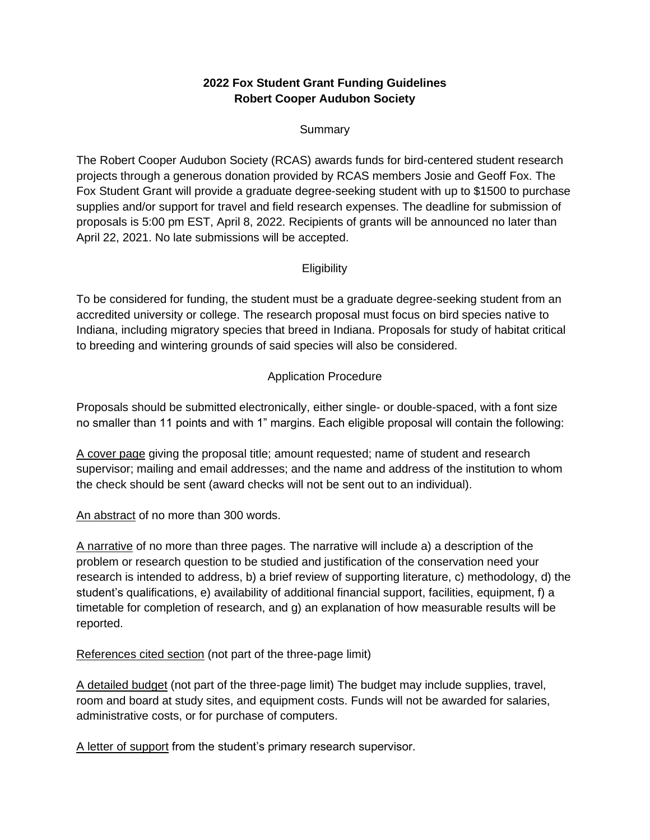# **2022 Fox Student Grant Funding Guidelines Robert Cooper Audubon Society**

## Summary

The Robert Cooper Audubon Society (RCAS) awards funds for bird-centered student research projects through a generous donation provided by RCAS members Josie and Geoff Fox. The Fox Student Grant will provide a graduate degree-seeking student with up to \$1500 to purchase supplies and/or support for travel and field research expenses. The deadline for submission of proposals is 5:00 pm EST, April 8, 2022. Recipients of grants will be announced no later than April 22, 2021. No late submissions will be accepted.

## **Eligibility**

To be considered for funding, the student must be a graduate degree-seeking student from an accredited university or college. The research proposal must focus on bird species native to Indiana, including migratory species that breed in Indiana. Proposals for study of habitat critical to breeding and wintering grounds of said species will also be considered.

## Application Procedure

Proposals should be submitted electronically, either single- or double-spaced, with a font size no smaller than 11 points and with 1" margins. Each eligible proposal will contain the following:

A cover page giving the proposal title; amount requested; name of student and research supervisor; mailing and email addresses; and the name and address of the institution to whom the check should be sent (award checks will not be sent out to an individual).

An abstract of no more than 300 words.

A narrative of no more than three pages. The narrative will include a) a description of the problem or research question to be studied and justification of the conservation need your research is intended to address, b) a brief review of supporting literature, c) methodology, d) the student's qualifications, e) availability of additional financial support, facilities, equipment, f) a timetable for completion of research, and g) an explanation of how measurable results will be reported.

References cited section (not part of the three-page limit)

A detailed budget (not part of the three-page limit) The budget may include supplies, travel, room and board at study sites, and equipment costs. Funds will not be awarded for salaries, administrative costs, or for purchase of computers.

A letter of support from the student's primary research supervisor.